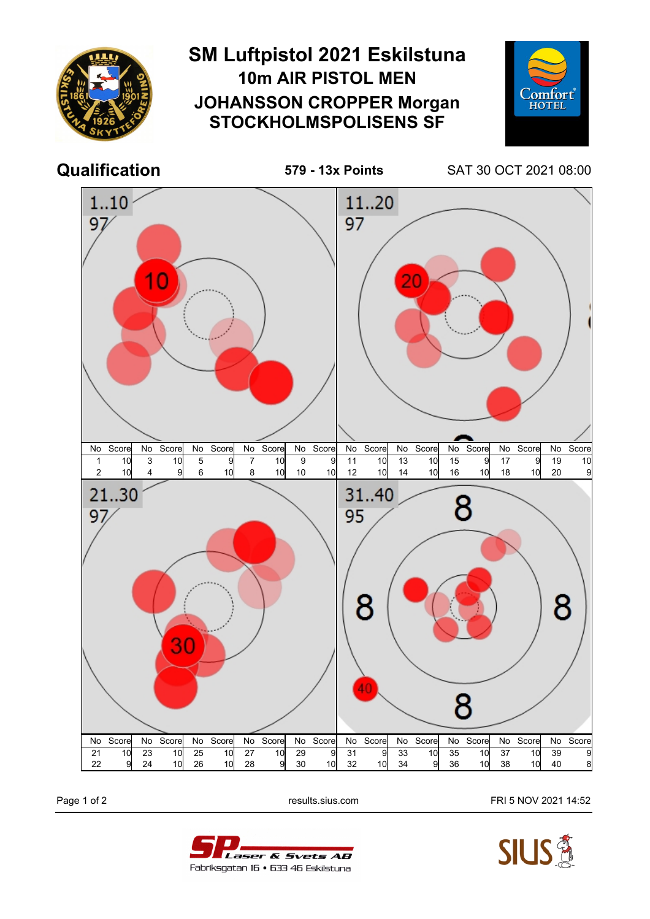

Page 1 of 2 **Page 1 of 2** results.sius.com **FRI 5 NOV 2021 14:52**